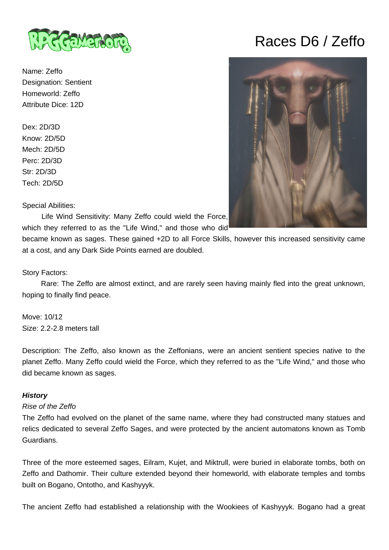

Name: Zeffo Designation: Sentient Homeworld: Zeffo Attribute Dice: 12D

Dex: 2D/3D Know: 2D/5D Mech: 2D/5D Perc: 2D/3D Str: 2D/3D Tech: 2D/5D

Special Abilities:

 Life Wind Sensitivity: Many Zeffo could wield the Force, which they referred to as the "Life Wind," and those who did<sup>1</sup>

became known as sages. These gained +2D to all Force Skills, however this increased sensitivity came at a cost, and any Dark Side Points earned are doubled.

Story Factors:

 Rare: The Zeffo are almost extinct, and are rarely seen having mainly fled into the great unknown, hoping to finally find peace.

Move: 10/12 Size: 2.2-2.8 meters tall

Description: The Zeffo, also known as the Zeffonians, were an ancient sentient species native to the planet Zeffo. Many Zeffo could wield the Force, which they referred to as the "Life Wind," and those who did became known as sages.

## **History**

### Rise of the Zeffo

The Zeffo had evolved on the planet of the same name, where they had constructed many statues and relics dedicated to several Zeffo Sages, and were protected by the ancient automatons known as Tomb Guardians.

Three of the more esteemed sages, Eilram, Kujet, and Miktrull, were buried in elaborate tombs, both on Zeffo and Dathomir. Their culture extended beyond their homeworld, with elaborate temples and tombs built on Bogano, Ontotho, and Kashyyyk.

The ancient Zeffo had established a relationship with the Wookiees of Kashyyyk. Bogano had a great

# Races D6 / Zeffo